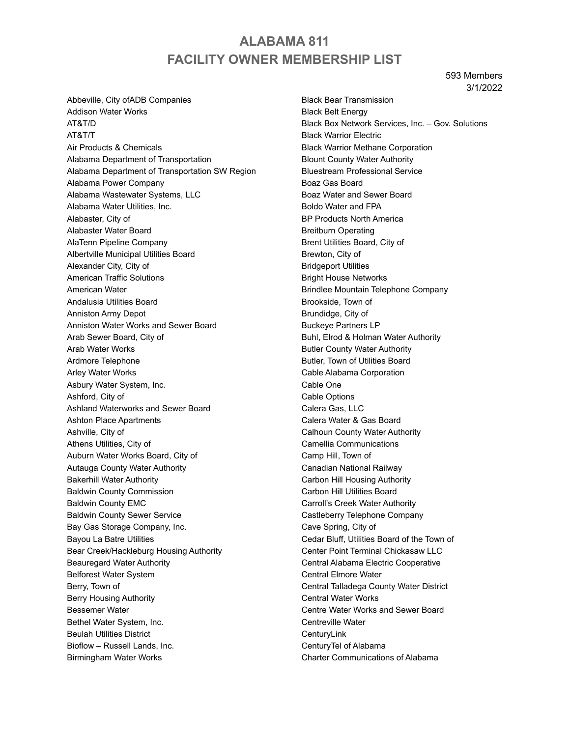# **ALABAMA 811 FACILITY OWNER MEMBERSHIP LIST**

593 Members 3/1/2022

Abbeville, City ofADB Companies Addison Water Works AT&T/D AT&T/T Air Products & Chemicals Alabama Department of Transportation Alabama Department of Transportation SW Region Alabama Power Company Alabama Wastewater Systems, LLC Alabama Water Utilities, Inc. Alabaster, City of Alabaster Water Board AlaTenn Pipeline Company Albertville Municipal Utilities Board Alexander City, City of American Traffic Solutions American Water Andalusia Utilities Board Anniston Army Depot Anniston Water Works and Sewer Board Arab Sewer Board, City of Arab Water Works Ardmore Telephone Arley Water Works Asbury Water System, Inc. Ashford, City of Ashland Waterworks and Sewer Board Ashton Place Apartments Ashville, City of Athens Utilities, City of Auburn Water Works Board, City of Autauga County Water Authority Bakerhill Water Authority Baldwin County Commission Baldwin County EMC Baldwin County Sewer Service Bay Gas Storage Company, Inc. Bayou La Batre Utilities Bear Creek/Hackleburg Housing Authority Beauregard Water Authority Belforest Water System Berry, Town of Berry Housing Authority Bessemer Water Bethel Water System, Inc. Beulah Utilities District Bioflow – Russell Lands, Inc. Birmingham Water Works

Black Bear Transmission Black Belt Energy Black Box Network Services, Inc. – Gov. Solutions Black Warrior Electric Black Warrior Methane Corporation Blount County Water Authority Bluestream Professional Service Boaz Gas Board Boaz Water and Sewer Board Boldo Water and FPA BP Products North America Breitburn Operating Brent Utilities Board, City of Brewton, City of Bridgeport Utilities Bright House Networks Brindlee Mountain Telephone Company Brookside, Town of Brundidge, City of Buckeye Partners LP Buhl, Elrod & Holman Water Authority Butler County Water Authority Butler, Town of Utilities Board Cable Alabama Corporation Cable One Cable Options Calera Gas, LLC Calera Water & Gas Board Calhoun County Water Authority Camellia Communications Camp Hill, Town of Canadian National Railway Carbon Hill Housing Authority Carbon Hill Utilities Board Carroll's Creek Water Authority Castleberry Telephone Company Cave Spring, City of Cedar Bluff, Utilities Board of the Town of Center Point Terminal Chickasaw LLC Central Alabama Electric Cooperative Central Elmore Water Central Talladega County Water District Central Water Works Centre Water Works and Sewer Board Centreville Water **CenturyLink** CenturyTel of Alabama Charter Communications of Alabama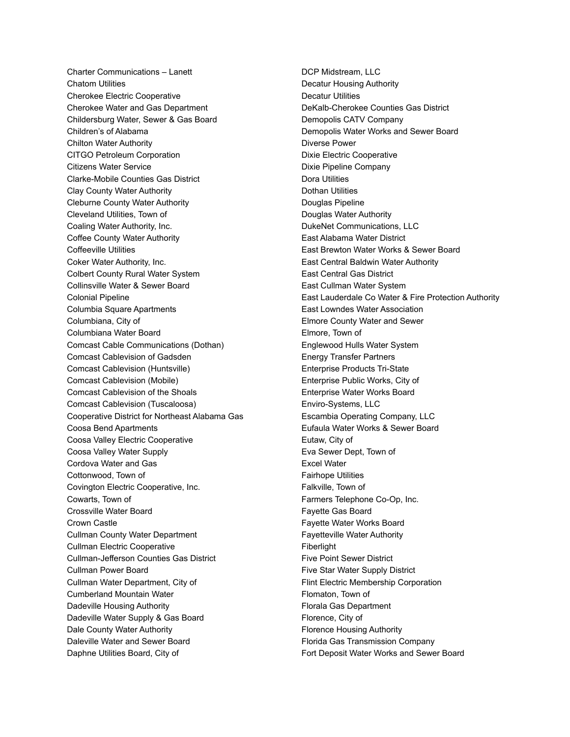Charter Communications – Lanett Chatom Utilities Cherokee Electric Cooperative Cherokee Water and Gas Department Childersburg Water, Sewer & Gas Board Children's of Alabama Chilton Water Authority CITGO Petroleum Corporation Citizens Water Service Clarke-Mobile Counties Gas District Clay County Water Authority Cleburne County Water Authority Cleveland Utilities, Town of Coaling Water Authority, Inc. Coffee County Water Authority Coffeeville Utilities Coker Water Authority, Inc. Colbert County Rural Water System Collinsville Water & Sewer Board Colonial Pipeline Columbia Square Apartments Columbiana, City of Columbiana Water Board Comcast Cable Communications (Dothan) Comcast Cablevision of Gadsden Comcast Cablevision (Huntsville) Comcast Cablevision (Mobile) Comcast Cablevision of the Shoals Comcast Cablevision (Tuscaloosa) Cooperative District for Northeast Alabama Gas Coosa Bend Apartments Coosa Valley Electric Cooperative Coosa Valley Water Supply Cordova Water and Gas Cottonwood, Town of Covington Electric Cooperative, Inc. Cowarts, Town of Crossville Water Board Crown Castle Cullman County Water Department Cullman Electric Cooperative Cullman-Jefferson Counties Gas District Cullman Power Board Cullman Water Department, City of Cumberland Mountain Water Dadeville Housing Authority Dadeville Water Supply & Gas Board Dale County Water Authority Daleville Water and Sewer Board Daphne Utilities Board, City of

DCP Midstream, LLC Decatur Housing Authority Decatur Utilities DeKalb-Cherokee Counties Gas District Demopolis CATV Company Demopolis Water Works and Sewer Board Diverse Power Dixie Electric Cooperative Dixie Pipeline Company Dora Utilities Dothan Utilities Douglas Pipeline Douglas Water Authority DukeNet Communications, LLC East Alabama Water District East Brewton Water Works & Sewer Board East Central Baldwin Water Authority East Central Gas District East Cullman Water System East Lauderdale Co Water & Fire Protection Authority East Lowndes Water Association Elmore County Water and Sewer Elmore, Town of Englewood Hulls Water System Energy Transfer Partners Enterprise Products Tri-State Enterprise Public Works, City of Enterprise Water Works Board Enviro-Systems, LLC Escambia Operating Company, LLC Eufaula Water Works & Sewer Board Eutaw, City of Eva Sewer Dept, Town of Excel Water Fairhope Utilities Falkville, Town of Farmers Telephone Co-Op, Inc. Fayette Gas Board Fayette Water Works Board Fayetteville Water Authority Fiberlight Five Point Sewer District Five Star Water Supply District Flint Electric Membership Corporation Flomaton, Town of Florala Gas Department Florence, City of Florence Housing Authority Florida Gas Transmission Company Fort Deposit Water Works and Sewer Board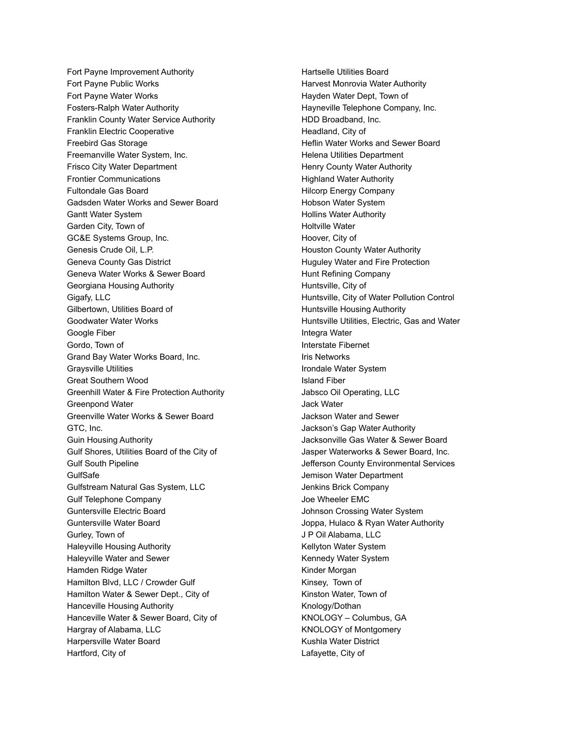Fort Payne Improvement Authority Fort Payne Public Works Fort Payne Water Works Fosters-Ralph Water Authority Franklin County Water Service Authority Franklin Electric Cooperative Freebird Gas Storage Freemanville Water System, Inc. Frisco City Water Department Frontier Communications Fultondale Gas Board Gadsden Water Works and Sewer Board Gantt Water System Garden City, Town of GC&E Systems Group, Inc. Genesis Crude Oil, L.P. Geneva County Gas District Geneva Water Works & Sewer Board Georgiana Housing Authority Gigafy, LLC Gilbertown, Utilities Board of Goodwater Water Works Google Fiber Gordo, Town of Grand Bay Water Works Board, Inc. Graysville Utilities Great Southern Wood Greenhill Water & Fire Protection Authority Greenpond Water Greenville Water Works & Sewer Board GTC, Inc. Guin Housing Authority Gulf Shores, Utilities Board of the City of Gulf South Pipeline **GulfSafe** Gulfstream Natural Gas System, LLC Gulf Telephone Company Guntersville Electric Board Guntersville Water Board Gurley, Town of Haleyville Housing Authority Haleyville Water and Sewer Hamden Ridge Water Hamilton Blvd, LLC / Crowder Gulf Hamilton Water & Sewer Dept., City of Hanceville Housing Authority Hanceville Water & Sewer Board, City of Hargray of Alabama, LLC Harpersville Water Board Hartford, City of

Hartselle Utilities Board Harvest Monrovia Water Authority Hayden Water Dept, Town of Hayneville Telephone Company, Inc. HDD Broadband, Inc. Headland, City of Heflin Water Works and Sewer Board Helena Utilities Department Henry County Water Authority Highland Water Authority Hilcorp Energy Company Hobson Water System Hollins Water Authority Holtville Water Hoover, City of Houston County Water Authority Huguley Water and Fire Protection Hunt Refining Company Huntsville, City of Huntsville, City of Water Pollution Control Huntsville Housing Authority Huntsville Utilities, Electric, Gas and Water Integra Water Interstate Fibernet Iris Networks Irondale Water System Island Fiber Jabsco Oil Operating, LLC Jack Water Jackson Water and Sewer Jackson's Gap Water Authority Jacksonville Gas Water & Sewer Board Jasper Waterworks & Sewer Board, Inc. Jefferson County Environmental Services Jemison Water Department Jenkins Brick Company Joe Wheeler EMC Johnson Crossing Water System Joppa, Hulaco & Ryan Water Authority J P Oil Alabama, LLC Kellyton Water System Kennedy Water System Kinder Morgan Kinsey, Town of Kinston Water, Town of Knology/Dothan KNOLOGY – Columbus, GA KNOLOGY of Montgomery Kushla Water District Lafayette, City of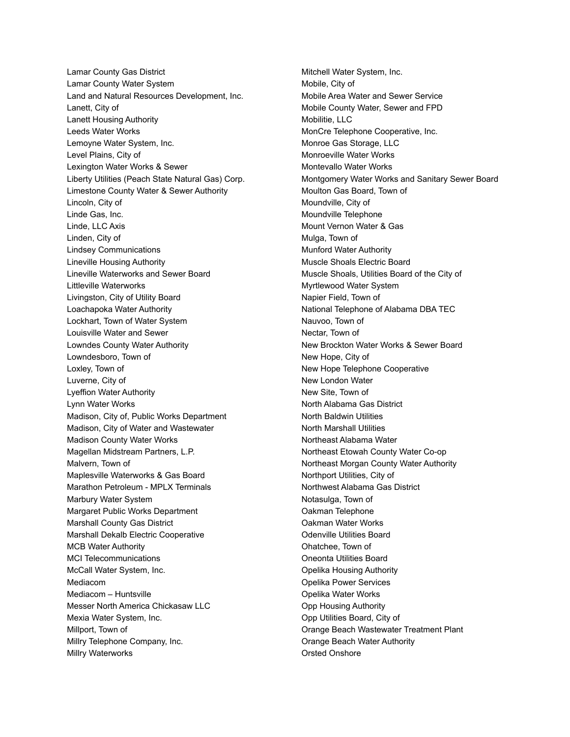Lamar County Gas District Lamar County Water System Land and Natural Resources Development, Inc. Lanett, City of Lanett Housing Authority Leeds Water Works Lemoyne Water System, Inc. Level Plains, City of Lexington Water Works & Sewer Liberty Utilities (Peach State Natural Gas) Corp. Limestone County Water & Sewer Authority Lincoln, City of Linde Gas, Inc. Linde, LLC Axis Linden, City of Lindsey Communications Lineville Housing Authority Lineville Waterworks and Sewer Board Littleville Waterworks Livingston, City of Utility Board Loachapoka Water Authority Lockhart, Town of Water System Louisville Water and Sewer Lowndes County Water Authority Lowndesboro, Town of Loxley, Town of Luverne, City of Lyeffion Water Authority Lynn Water Works Madison, City of, Public Works Department Madison, City of Water and Wastewater Madison County Water Works Magellan Midstream Partners, L.P. Malvern, Town of Maplesville Waterworks & Gas Board Marathon Petroleum - MPLX Terminals Marbury Water System Margaret Public Works Department Marshall County Gas District Marshall Dekalb Electric Cooperative MCB Water Authority MCI Telecommunications McCall Water System, Inc. Mediacom Mediacom – Huntsville Messer North America Chickasaw LLC Mexia Water System, Inc. Millport, Town of Millry Telephone Company, Inc. Millry Waterworks

Mitchell Water System, Inc. Mobile, City of Mobile Area Water and Sewer Service Mobile County Water, Sewer and FPD Mobilitie, LLC MonCre Telephone Cooperative, Inc. Monroe Gas Storage, LLC Monroeville Water Works Montevallo Water Works Montgomery Water Works and Sanitary Sewer Board Moulton Gas Board, Town of Moundville, City of Moundville Telephone Mount Vernon Water & Gas Mulga, Town of Munford Water Authority Muscle Shoals Electric Board Muscle Shoals, Utilities Board of the City of Myrtlewood Water System Napier Field, Town of National Telephone of Alabama DBA TEC Nauvoo, Town of Nectar, Town of New Brockton Water Works & Sewer Board New Hope, City of New Hope Telephone Cooperative New London Water New Site, Town of North Alabama Gas District North Baldwin Utilities North Marshall Utilities Northeast Alabama Water Northeast Etowah County Water Co-op Northeast Morgan County Water Authority Northport Utilities, City of Northwest Alabama Gas District Notasulga, Town of Oakman Telephone Oakman Water Works Odenville Utilities Board Ohatchee, Town of Oneonta Utilities Board Opelika Housing Authority Opelika Power Services Opelika Water Works Opp Housing Authority Opp Utilities Board, City of Orange Beach Wastewater Treatment Plant Orange Beach Water Authority Orsted Onshore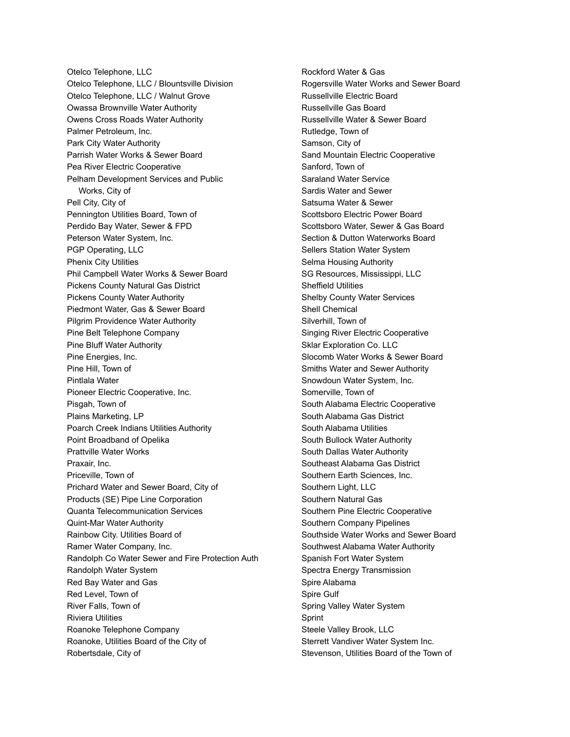Otelco Telephone, LLC Otelco Telephone, LLC / Blountsville Division Otelco Telephone, LLC / Walnut Grove Owassa Brownville Water Authority Owens Cross Roads Water Authority Palmer Petroleum, Inc. Park City Water Authority Parrish Water Works & Sewer Board Pea River Electric Cooperative Pelham Development Services and Public Works, City of Pell City, City of Pennington Utilities Board, Town of Perdido Bay Water, Sewer & FPD Peterson Water System, Inc. PGP Operating, LLC Phenix City Utilities Phil Campbell Water Works & Sewer Board Pickens County Natural Gas District Pickens County Water Authority Piedmont Water, Gas & Sewer Board Pilgrim Providence Water Authority Pine Belt Telephone Company Pine Bluff Water Authority Pine Energies, Inc. Pine Hill, Town of Pintlala Water Pioneer Electric Cooperative, Inc. Pisgah, Town of Plains Marketing, LP Poarch Creek Indians Utilities Authority Point Broadband of Opelika Prattville Water Works Praxair, Inc. Priceville, Town of Prichard Water and Sewer Board, City of Products (SE) Pipe Line Corporation Quanta Telecommunication Services Quint-Mar Water Authority Rainbow City. Utilities Board of Ramer Water Company, Inc. Randolph Co Water Sewer and Fire Protection Auth Randolph Water System Red Bay Water and Gas Red Level, Town of River Falls, Town of Riviera Utilities Roanoke Telephone Company Roanoke, Utilities Board of the City of Robertsdale, City of

Rockford Water & Gas Rogersville Water Works and Sewer Board Russellville Electric Board Russellville Gas Board Russellville Water & Sewer Board Rutledge, Town of Samson, City of Sand Mountain Electric Cooperative Sanford, Town of Saraland Water Service Sardis Water and Sewer Satsuma Water & Sewer Scottsboro Electric Power Board Scottsboro Water, Sewer & Gas Board Section & Dutton Waterworks Board Sellers Station Water System Selma Housing Authority SG Resources, Mississippi, LLC Sheffield Utilities Shelby County Water Services Shell Chemical Silverhill, Town of Singing River Electric Cooperative Sklar Exploration Co. LLC Slocomb Water Works & Sewer Board Smiths Water and Sewer Authority Snowdoun Water System, Inc. Somerville, Town of South Alabama Electric Cooperative South Alabama Gas District South Alabama Utilities South Bullock Water Authority South Dallas Water Authority Southeast Alabama Gas District Southern Earth Sciences, Inc. Southern Light, LLC Southern Natural Gas Southern Pine Electric Cooperative Southern Company Pipelines Southside Water Works and Sewer Board Southwest Alabama Water Authority Spanish Fort Water System Spectra Energy Transmission Spire Alabama Spire Gulf Spring Valley Water System Sprint Steele Valley Brook, LLC Sterrett Vandiver Water System Inc. Stevenson, Utilities Board of the Town of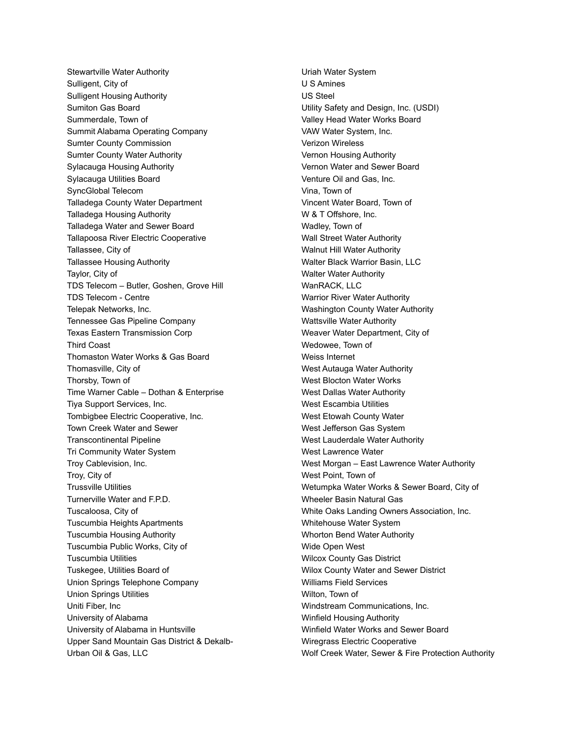Stewartville Water Authority Sulligent, City of Sulligent Housing Authority Sumiton Gas Board Summerdale, Town of Summit Alabama Operating Company Sumter County Commission Sumter County Water Authority Sylacauga Housing Authority Sylacauga Utilities Board SyncGlobal Telecom Talladega County Water Department Talladega Housing Authority Talladega Water and Sewer Board Tallapoosa River Electric Cooperative Tallassee, City of Tallassee Housing Authority Taylor, City of TDS Telecom – Butler, Goshen, Grove Hill TDS Telecom - Centre Telepak Networks, Inc. Tennessee Gas Pipeline Company Texas Eastern Transmission Corp Third Coast Thomaston Water Works & Gas Board Thomasville, City of Thorsby, Town of Time Warner Cable – Dothan & Enterprise Tiya Support Services, Inc. Tombigbee Electric Cooperative, Inc. Town Creek Water and Sewer Transcontinental Pipeline Tri Community Water System Troy Cablevision, Inc. Troy, City of Trussville Utilities Turnerville Water and F.P.D. Tuscaloosa, City of Tuscumbia Heights Apartments Tuscumbia Housing Authority Tuscumbia Public Works, City of Tuscumbia Utilities Tuskegee, Utilities Board of Union Springs Telephone Company Union Springs Utilities Uniti Fiber, Inc University of Alabama University of Alabama in Huntsville Upper Sand Mountain Gas District & Dekalb-Urban Oil & Gas, LLC

Uriah Water System U S Amines US Steel Utility Safety and Design, Inc. (USDI) Valley Head Water Works Board VAW Water System, Inc. Verizon Wireless Vernon Housing Authority Vernon Water and Sewer Board Venture Oil and Gas, Inc. Vina, Town of Vincent Water Board, Town of W & T Offshore, Inc. Wadley, Town of Wall Street Water Authority Walnut Hill Water Authority Walter Black Warrior Basin, LLC Walter Water Authority WanRACK, LLC Warrior River Water Authority Washington County Water Authority Wattsville Water Authority Weaver Water Department, City of Wedowee, Town of Weiss Internet West Autauga Water Authority West Blocton Water Works West Dallas Water Authority West Escambia Utilities West Etowah County Water West Jefferson Gas System West Lauderdale Water Authority West Lawrence Water West Morgan – East Lawrence Water Authority West Point, Town of Wetumpka Water Works & Sewer Board, City of Wheeler Basin Natural Gas White Oaks Landing Owners Association, Inc. Whitehouse Water System Whorton Bend Water Authority Wide Open West Wilcox County Gas District Wilox County Water and Sewer District Williams Field Services Wilton, Town of Windstream Communications, Inc. Winfield Housing Authority Winfield Water Works and Sewer Board Wiregrass Electric Cooperative Wolf Creek Water, Sewer & Fire Protection Authority